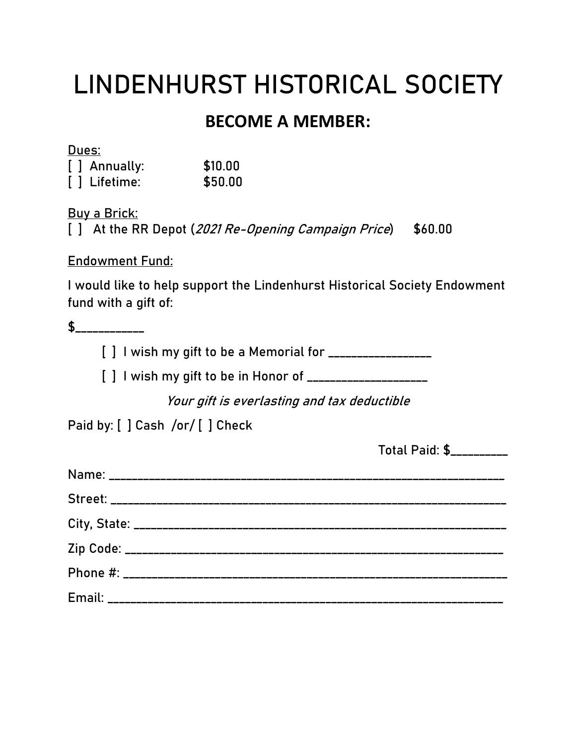## **LINDENHURST HISTORICAL SOCIETY**

### **BECOME A MEMBER:**

**Dues:**

| [ ] Annually: | \$10.00 |
|---------------|---------|
| [ ] Lifetime: | \$50.00 |

**Buy a Brick:**

[ ] At the RR Depot (2021 Re-Opening Campaign Price) \$60.00

**Endowment Fund:**

I would like to help support the Lindenhurst Historical Society Endowment fund with a gift of:

**\$\_\_\_\_\_\_\_\_\_\_\_\_**

**[ ] I wish my gift to be a Memorial for \_\_\_\_\_\_\_\_\_\_\_\_\_\_\_\_\_\_**

**[ ] I wish my gift to be in Honor of \_\_\_\_\_\_\_\_\_\_\_\_\_\_\_\_\_\_\_\_\_**

Your gift is everlasting and tax deductible

**Paid by: [ ] Cash /or/ [ ] Check**

**Total Paid: \$\_\_\_\_\_\_\_\_\_\_**